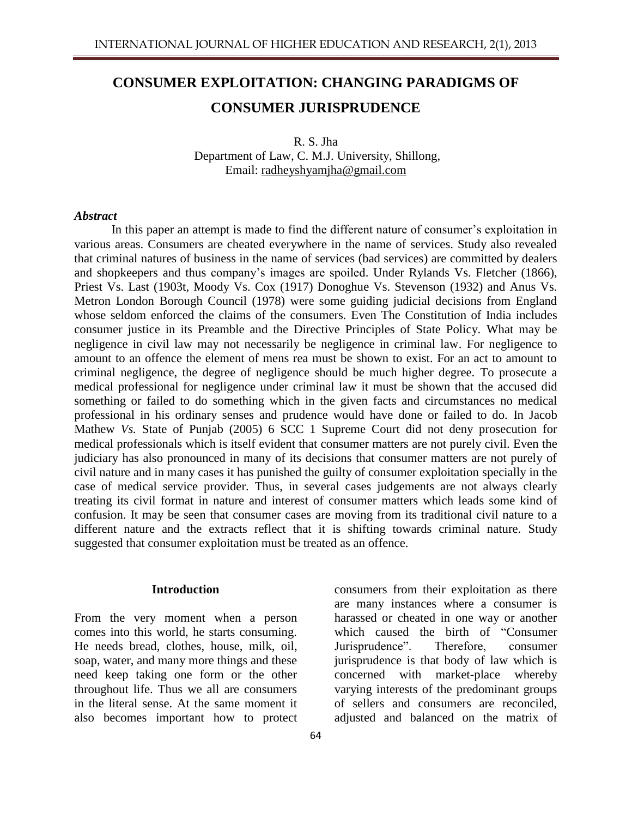# **CONSUMER EXPLOITATION: CHANGING PARADIGMS OF CONSUMER JURISPRUDENCE**

R. S. Jha Department of Law, C. M.J. University, Shillong, Email: [radheyshyamjha@gmail.com](mailto:radheyshyamjha@gmail.com)

#### *Abstract*

In this paper an attempt is made to find the different nature of consumer's exploitation in various areas. Consumers are cheated everywhere in the name of services. Study also revealed that criminal natures of business in the name of services (bad services) are committed by dealers and shopkeepers and thus company's images are spoiled. Under Rylands Vs. Fletcher (1866), Priest Vs. Last (1903t, Moody Vs. Cox (1917) Donoghue Vs. Stevenson (1932) and Anus Vs. Metron London Borough Council (1978) were some guiding judicial decisions from England whose seldom enforced the claims of the consumers. Even The Constitution of India includes consumer justice in its Preamble and the Directive Principles of State Policy. What may be negligence in civil law may not necessarily be negligence in criminal law. For negligence to amount to an offence the element of mens rea must be shown to exist. For an act to amount to criminal negligence, the degree of negligence should be much higher degree. To prosecute a medical professional for negligence under criminal law it must be shown that the accused did something or failed to do something which in the given facts and circumstances no medical professional in his ordinary senses and prudence would have done or failed to do. In Jacob Mathew *Vs.* State of Punjab (2005) 6 SCC 1 Supreme Court did not deny prosecution for medical professionals which is itself evident that consumer matters are not purely civil. Even the judiciary has also pronounced in many of its decisions that consumer matters are not purely of civil nature and in many cases it has punished the guilty of consumer exploitation specially in the case of medical service provider. Thus, in several cases judgements are not always clearly treating its civil format in nature and interest of consumer matters which leads some kind of confusion. It may be seen that consumer cases are moving from its traditional civil nature to a different nature and the extracts reflect that it is shifting towards criminal nature. Study suggested that consumer exploitation must be treated as an offence.

#### **Introduction**

From the very moment when a person comes into this world, he starts consuming. He needs bread, clothes, house, milk, oil, soap, water, and many more things and these need keep taking one form or the other throughout life. Thus we all are consumers in the literal sense. At the same moment it also becomes important how to protect

consumers from their exploitation as there are many instances where a consumer is harassed or cheated in one way or another which caused the birth of "Consumer Jurisprudence". Therefore, consumer jurisprudence is that body of law which is concerned with market-place whereby varying interests of the predominant groups of sellers and consumers are reconciled, adjusted and balanced on the matrix of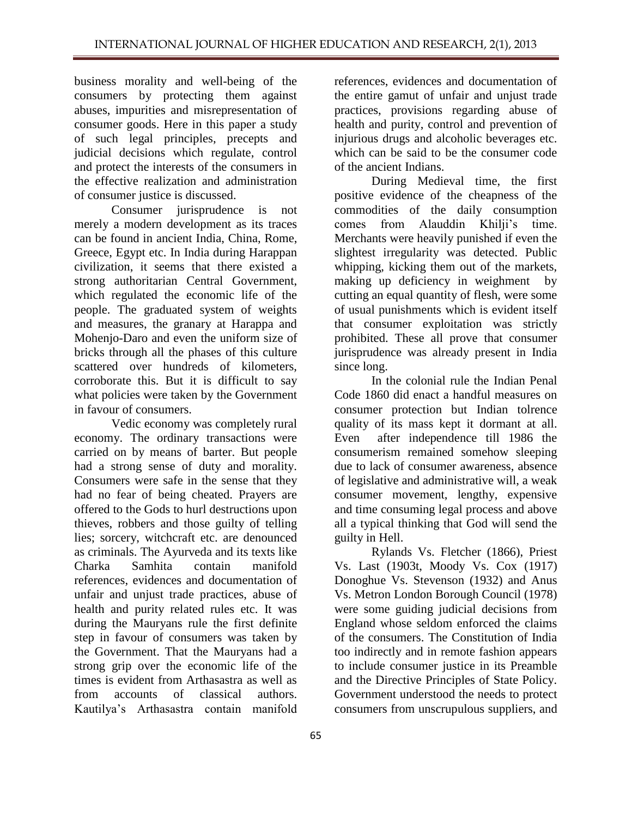business morality and well-being of the consumers by protecting them against abuses, impurities and misrepresentation of consumer goods. Here in this paper a study of such legal principles, precepts and judicial decisions which regulate, control and protect the interests of the consumers in the effective realization and administration of consumer justice is discussed.

Consumer jurisprudence is not merely a modern development as its traces can be found in ancient India, China, Rome, Greece, Egypt etc. In India during Harappan civilization, it seems that there existed a strong authoritarian Central Government, which regulated the economic life of the people. The graduated system of weights and measures, the granary at Harappa and Mohenjo-Daro and even the uniform size of bricks through all the phases of this culture scattered over hundreds of kilometers, corroborate this. But it is difficult to say what policies were taken by the Government in favour of consumers.

Vedic economy was completely rural economy. The ordinary transactions were carried on by means of barter. But people had a strong sense of duty and morality. Consumers were safe in the sense that they had no fear of being cheated. Prayers are offered to the Gods to hurl destructions upon thieves, robbers and those guilty of telling lies; sorcery, witchcraft etc. are denounced as criminals. The Ayurveda and its texts like Charka Samhita contain manifold references, evidences and documentation of unfair and unjust trade practices, abuse of health and purity related rules etc. It was during the Mauryans rule the first definite step in favour of consumers was taken by the Government. That the Mauryans had a strong grip over the economic life of the times is evident from Arthasastra as well as from accounts of classical authors. Kautilya's Arthasastra contain manifold

references, evidences and documentation of the entire gamut of unfair and unjust trade practices, provisions regarding abuse of health and purity, control and prevention of injurious drugs and alcoholic beverages etc. which can be said to be the consumer code of the ancient Indians.

During Medieval time, the first positive evidence of the cheapness of the commodities of the daily consumption comes from Alauddin Khilji's time. Merchants were heavily punished if even the slightest irregularity was detected. Public whipping, kicking them out of the markets, making up deficiency in weighment by cutting an equal quantity of flesh, were some of usual punishments which is evident itself that consumer exploitation was strictly prohibited. These all prove that consumer jurisprudence was already present in India since long.

In the colonial rule the Indian Penal Code 1860 did enact a handful measures on consumer protection but Indian tolrence quality of its mass kept it dormant at all. Even after independence till 1986 the consumerism remained somehow sleeping due to lack of consumer awareness, absence of legislative and administrative will, a weak consumer movement, lengthy, expensive and time consuming legal process and above all a typical thinking that God will send the guilty in Hell.

Rylands Vs. Fletcher (1866), Priest Vs. Last (1903t, Moody Vs. Cox (1917) Donoghue Vs. Stevenson (1932) and Anus Vs. Metron London Borough Council (1978) were some guiding judicial decisions from England whose seldom enforced the claims of the consumers. The Constitution of India too indirectly and in remote fashion appears to include consumer justice in its Preamble and the Directive Principles of State Policy. Government understood the needs to protect consumers from unscrupulous suppliers, and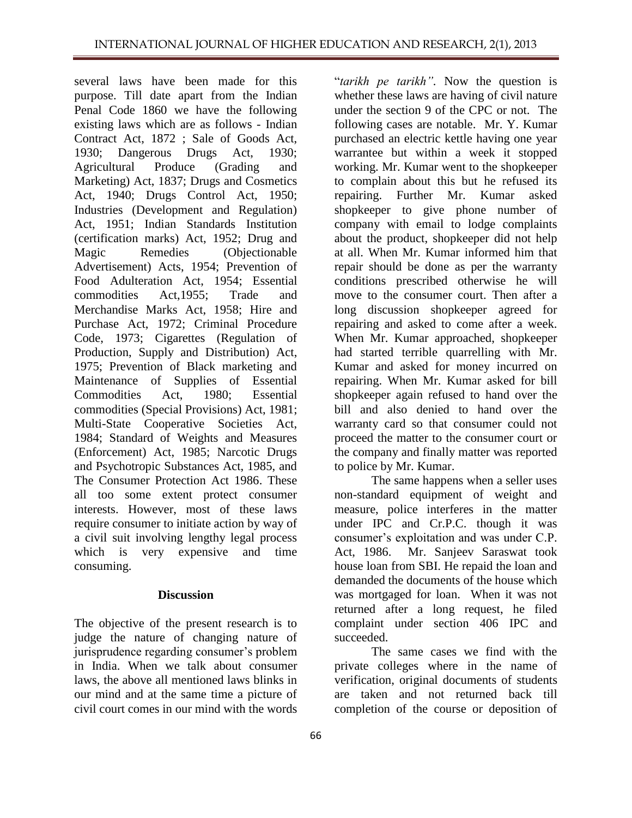several laws have been made for this purpose. Till date apart from the Indian Penal Code 1860 we have the following existing laws which are as follows - Indian Contract Act, 1872 ; Sale of Goods Act, 1930; Dangerous Drugs Act, 1930; Agricultural Produce (Grading and Marketing) Act, 1837; Drugs and Cosmetics Act, 1940; Drugs Control Act, 1950; Industries (Development and Regulation) Act, 1951; Indian Standards Institution (certification marks) Act, 1952; Drug and Magic Remedies (Objectionable Advertisement) Acts, 1954; Prevention of Food Adulteration Act, 1954; Essential commodities Act,1955; Trade and Merchandise Marks Act, 1958; Hire and Purchase Act, 1972; Criminal Procedure Code, 1973; Cigarettes (Regulation of Production, Supply and Distribution) Act, 1975; Prevention of Black marketing and Maintenance of Supplies of Essential Commodities Act, 1980; Essential commodities (Special Provisions) Act, 1981; Multi-State Cooperative Societies Act, 1984; Standard of Weights and Measures (Enforcement) Act, 1985; Narcotic Drugs and Psychotropic Substances Act, 1985, and The Consumer Protection Act 1986. These all too some extent protect consumer interests. However, most of these laws require consumer to initiate action by way of a civil suit involving lengthy legal process which is very expensive and time consuming.

### **Discussion**

The objective of the present research is to judge the nature of changing nature of jurisprudence regarding consumer's problem in India. When we talk about consumer laws, the above all mentioned laws blinks in our mind and at the same time a picture of civil court comes in our mind with the words

"*tarikh pe tarikh".* Now the question is whether these laws are having of civil nature under the section 9 of the CPC or not. The following cases are notable. Mr. Y. Kumar purchased an electric kettle having one year warrantee but within a week it stopped working. Mr. Kumar went to the shopkeeper to complain about this but he refused its repairing. Further Mr. Kumar asked shopkeeper to give phone number of company with email to lodge complaints about the product, shopkeeper did not help at all. When Mr. Kumar informed him that repair should be done as per the warranty conditions prescribed otherwise he will move to the consumer court. Then after a long discussion shopkeeper agreed for repairing and asked to come after a week. When Mr. Kumar approached, shopkeeper had started terrible quarrelling with Mr. Kumar and asked for money incurred on repairing. When Mr. Kumar asked for bill shopkeeper again refused to hand over the bill and also denied to hand over the warranty card so that consumer could not proceed the matter to the consumer court or the company and finally matter was reported to police by Mr. Kumar.

The same happens when a seller uses non-standard equipment of weight and measure, police interferes in the matter under IPC and Cr.P.C. though it was consumer's exploitation and was under C.P. Act, 1986. Mr. Sanjeev Saraswat took house loan from SBI. He repaid the loan and demanded the documents of the house which was mortgaged for loan. When it was not returned after a long request, he filed complaint under section 406 IPC and succeeded.

The same cases we find with the private colleges where in the name of verification, original documents of students are taken and not returned back till completion of the course or deposition of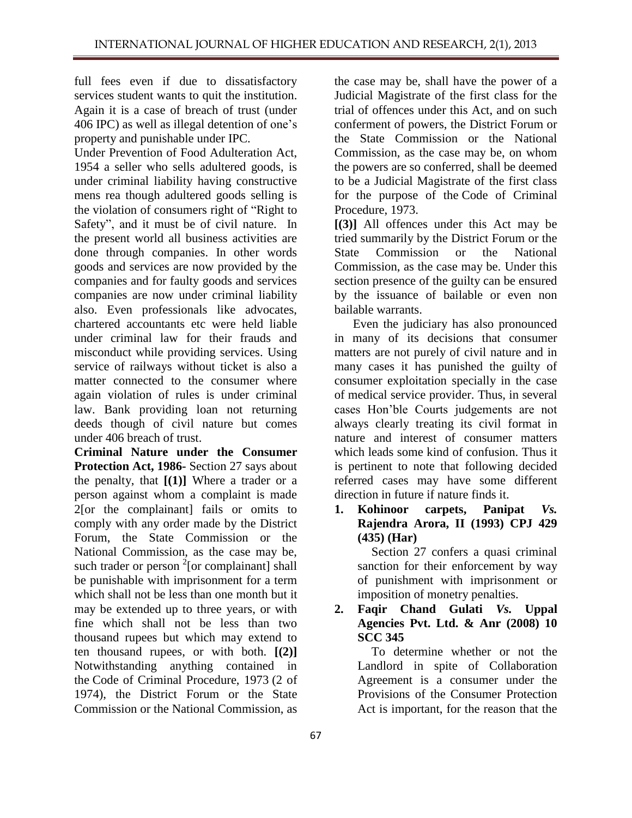full fees even if due to dissatisfactory services student wants to quit the institution. Again it is a case of breach of trust (under 406 IPC) as well as illegal detention of one's property and punishable under IPC.

Under Prevention of Food Adulteration Act, 1954 a seller who sells adultered goods, is under criminal liability having constructive mens rea though adultered goods selling is the violation of consumers right of "Right to Safety", and it must be of civil nature. In the present world all business activities are done through companies. In other words goods and services are now provided by the companies and for faulty goods and services companies are now under criminal liability also. Even professionals like advocates, chartered accountants etc were held liable under criminal law for their frauds and misconduct while providing services. Using service of railways without ticket is also a matter connected to the consumer where again violation of rules is under criminal law. Bank providing loan not returning deeds though of civil nature but comes under 406 breach of trust.

**Criminal Nature under the Consumer Protection Act, 1986-** Section 27 says about the penalty, that **[(1)]** Where a trader or a person against whom a complaint is made 2[or the complainant] fails or omits to comply with any order made by the District Forum, the State Commission or the National Commission, as the case may be, such trader or person  $2$ [or complainant] shall be punishable with imprisonment for a term which shall not be less than one month but it may be extended up to three years, or with fine which shall not be less than two thousand rupees but which may extend to ten thousand rupees, or with both. **[(2)]** Notwithstanding anything contained in the [Code of Criminal Procedure, 1973](http://www.vakilno1.com/bareacts/CrPc/Criminal-Procedure-Code-1973.htm) (2 of 1974), the District Forum or the State Commission or the National Commission, as

the case may be, shall have the power of a Judicial Magistrate of the first class for the trial of offences under this Act, and on such conferment of powers, the District Forum or the State Commission or the National Commission, as the case may be, on whom the powers are so conferred, shall be deemed to be a Judicial Magistrate of the first class for the purpose of the [Code of Criminal](http://www.vakilno1.com/bareacts/CrPc/Criminal-Procedure-Code-1973.htm)  [Procedure, 1973.](http://www.vakilno1.com/bareacts/CrPc/Criminal-Procedure-Code-1973.htm)

**[(3)]** All offences under this Act may be tried summarily by the District Forum or the State Commission or the National Commission, as the case may be. Under this section presence of the guilty can be ensured by the issuance of bailable or even non bailable warrants.

Even the judiciary has also pronounced in many of its decisions that consumer matters are not purely of civil nature and in many cases it has punished the guilty of consumer exploitation specially in the case of medical service provider. Thus, in several cases Hon'ble Courts judgements are not always clearly treating its civil format in nature and interest of consumer matters which leads some kind of confusion. Thus it is pertinent to note that following decided referred cases may have some different direction in future if nature finds it.

**1. Kohinoor carpets, Panipat** *Vs.* **Rajendra Arora, II (1993) CPJ 429 (435) (Har)**

> Section 27 confers a quasi criminal sanction for their enforcement by way of punishment with imprisonment or imposition of monetry penalties.

# **2. Faqir Chand Gulati** *Vs.* **Uppal Agencies Pvt. Ltd. & Anr (2008) 10 SCC 345**

To determine whether or not the Landlord in spite of Collaboration Agreement is a consumer under the Provisions of the Consumer Protection Act is important, for the reason that the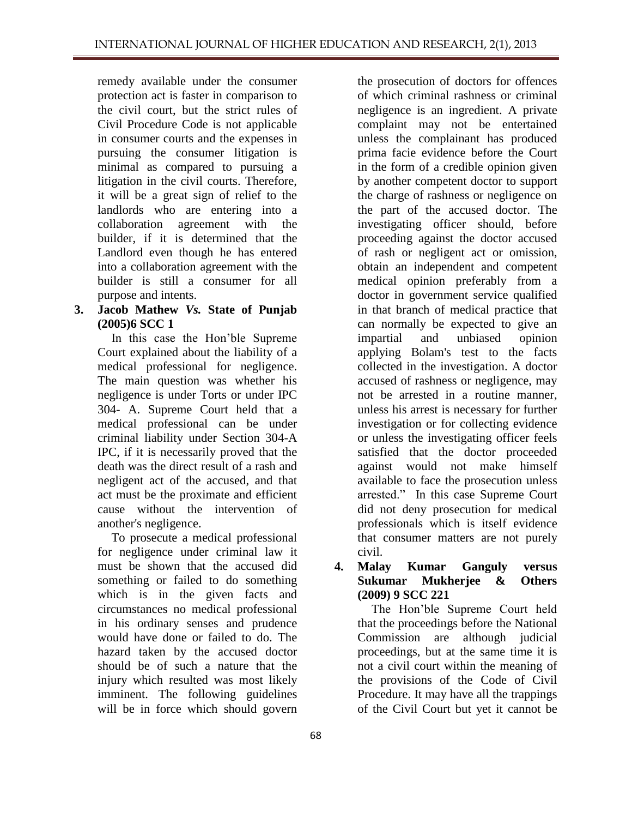remedy available under the consumer protection act is faster in comparison to the civil court, but the strict rules of Civil Procedure Code is not applicable in consumer courts and the expenses in pursuing the consumer litigation is minimal as compared to pursuing a litigation in the civil courts. Therefore, it will be a great sign of relief to the landlords who are entering into a collaboration agreement with the builder, if it is determined that the Landlord even though he has entered into a collaboration agreement with the builder is still a consumer for all purpose and intents.

**3. Jacob Mathew** *Vs.* **State of Punjab (2005)6 SCC 1**

In this case the Hon'ble Supreme Court explained about the liability of a medical professional for negligence. The main question was whether his negligence is under Torts or under IPC 304- A. Supreme Court held that a medical professional can be under criminal liability under Section 304-A IPC, if it is necessarily proved that the death was the direct result of a rash and negligent act of the accused, and that act must be the proximate and efficient cause without the intervention of another's negligence.

To prosecute a medical professional for negligence under criminal law it must be shown that the accused did something or failed to do something which is in the given facts and circumstances no medical professional in his ordinary senses and prudence would have done or failed to do. The hazard taken by the accused doctor should be of such a nature that the injury which resulted was most likely imminent. The following guidelines will be in force which should govern

the prosecution of doctors for offences of which criminal rashness or criminal negligence is an ingredient. A private complaint may not be entertained unless the complainant has produced prima facie evidence before the Court in the form of a credible opinion given by another competent doctor to support the charge of rashness or negligence on the part of the accused doctor. The investigating officer should, before proceeding against the doctor accused of rash or negligent act or omission, obtain an independent and competent medical opinion preferably from a doctor in government service qualified in that branch of medical practice that can normally be expected to give an impartial and unbiased opinion applying Bolam's test to the facts collected in the investigation. A doctor accused of rashness or negligence, may not be arrested in a routine manner, unless his arrest is necessary for further investigation or for collecting evidence or unless the investigating officer feels satisfied that the doctor proceeded against would not make himself available to face the prosecution unless arrested." In this case Supreme Court did not deny prosecution for medical professionals which is itself evidence that consumer matters are not purely civil.

**4. Malay Kumar Ganguly versus Sukumar Mukherjee & Others (2009) 9 SCC 221**

The Hon'ble Supreme Court held that the proceedings before the National Commission are although judicial proceedings, but at the same time it is not a civil court within the meaning of the provisions of the Code of Civil Procedure. It may have all the trappings of the Civil Court but yet it cannot be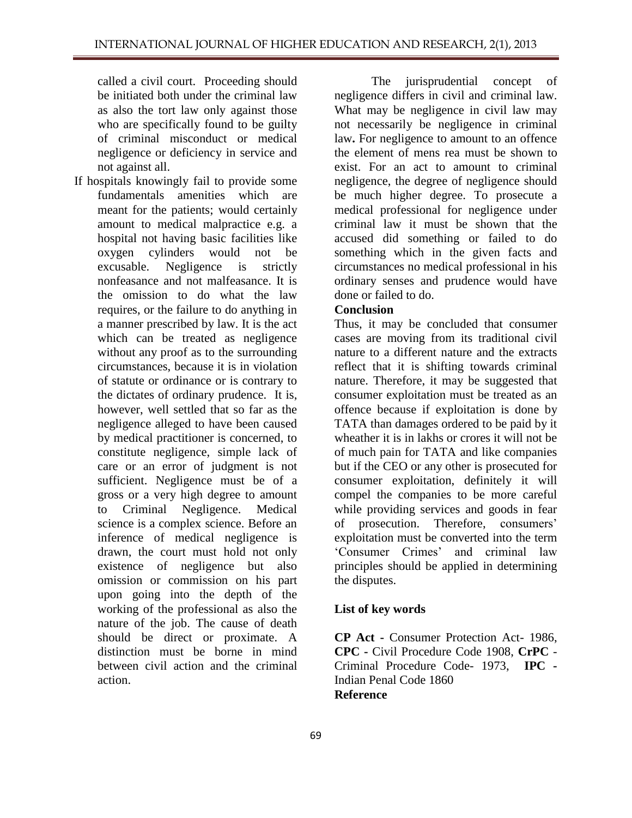called a civil court. Proceeding should be initiated both under the criminal law as also the tort law only against those who are specifically found to be guilty of criminal misconduct or medical negligence or deficiency in service and not against all.

If hospitals knowingly fail to provide some fundamentals amenities which are meant for the patients; would certainly amount to medical malpractice e.g. a hospital not having basic facilities like oxygen cylinders would not be excusable. Negligence is strictly nonfeasance and not malfeasance. It is the omission to do what the law requires, or the failure to do anything in a manner prescribed by law. It is the act which can be treated as negligence without any proof as to the surrounding circumstances, because it is in violation of statute or ordinance or is contrary to the dictates of ordinary prudence. It is, however, well settled that so far as the negligence alleged to have been caused by medical practitioner is concerned, to constitute negligence, simple lack of care or an error of judgment is not sufficient. Negligence must be of a gross or a very high degree to amount to Criminal Negligence. Medical science is a complex science. Before an inference of medical negligence is drawn, the court must hold not only existence of negligence but also omission or commission on his part upon going into the depth of the working of the professional as also the nature of the job. The cause of death should be direct or proximate. A distinction must be borne in mind between civil action and the criminal action.

The jurisprudential concept of negligence differs in civil and criminal law. What may be negligence in civil law may not necessarily be negligence in criminal law**.** For negligence to amount to an offence the element of mens rea must be shown to exist. For an act to amount to criminal negligence, the degree of negligence should be much higher degree. To prosecute a medical professional for negligence under criminal law it must be shown that the accused did something or failed to do something which in the given facts and circumstances no medical professional in his ordinary senses and prudence would have done or failed to do.

## **Conclusion**

Thus, it may be concluded that consumer cases are moving from its traditional civil nature to a different nature and the extracts reflect that it is shifting towards criminal nature. Therefore, it may be suggested that consumer exploitation must be treated as an offence because if exploitation is done by TATA than damages ordered to be paid by it wheather it is in lakhs or crores it will not be of much pain for TATA and like companies but if the CEO or any other is prosecuted for consumer exploitation, definitely it will compel the companies to be more careful while providing services and goods in fear of prosecution. Therefore, consumers' exploitation must be converted into the term 'Consumer Crimes' and criminal law principles should be applied in determining the disputes.

## **List of key words**

**CP Act -** Consumer Protection Act- 1986, **CPC -** Civil Procedure Code 1908, **CrPC** - Criminal Procedure Code- 1973, **IPC -** Indian Penal Code 1860 **Reference**